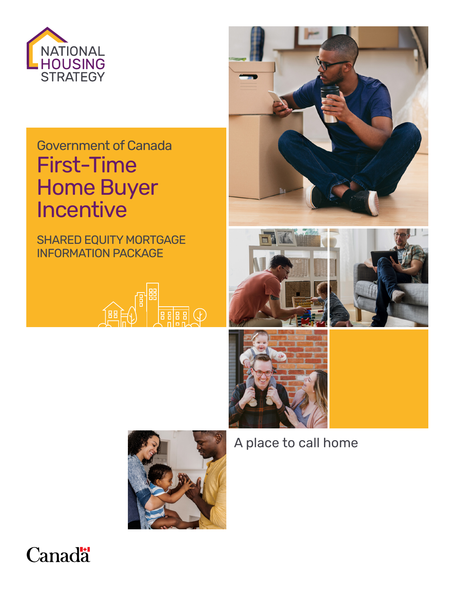

# Government of Canada First-Time Home Buyer Incentive

SHARED EQUITY MORTGAGE INFORMATION PACKAGE















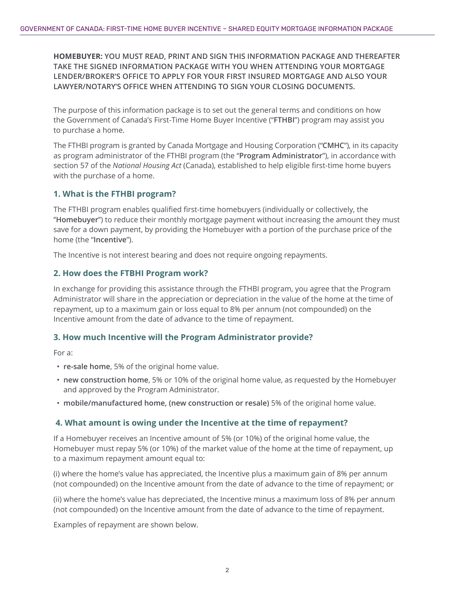**HOMEBUYER: YOU MUST READ, PRINT AND SIGN THIS INFORMATION PACKAGE AND THEREAFTER TAKE THE SIGNED INFORMATION PACKAGE WITH YOU WHEN ATTENDING YOUR MORTGAGE LENDER/BROKER'S OFFICE TO APPLY FOR YOUR FIRST INSURED MORTGAGE AND ALSO YOUR LAWYER/NOTARY'S OFFICE WHEN ATTENDING TO SIGN YOUR CLOSING DOCUMENTS.**

The purpose of this information package is to set out the general terms and conditions on how the Government of Canada's First-Time Home Buyer Incentive ("**FTHBI**") program may assist you to purchase a home.

The FTHBI program is granted by Canada Mortgage and Housing Corporation ("**CMHC**"), in its capacity as program administrator of the FTHBI program (the "**Program Administrator**"), in accordance with section 57 of the *National Housing Act* (Canada), established to help eligible first-time home buyers with the purchase of a home.

#### **1. What is the FTHBI program?**

The FTHBI program enables qualified first-time homebuyers (individually or collectively, the ''**Homebuyer**'') to reduce their monthly mortgage payment without increasing the amount they must save for a down payment, by providing the Homebuyer with a portion of the purchase price of the home (the "**Incentive**").

The Incentive is not interest bearing and does not require ongoing repayments.

#### **2. How does the FTBHI Program work?**

In exchange for providing this assistance through the FTHBI program, you agree that the Program Administrator will share in the appreciation or depreciation in the value of the home at the time of repayment, up to a maximum gain or loss equal to 8% per annum (not compounded) on the Incentive amount from the date of advance to the time of repayment.

#### **3. How much Incentive will the Program Administrator provide?**

For a:

- **re-sale home**, 5% of the original home value.
- **new construction home**, 5% or 10% of the original home value, as requested by the Homebuyer and approved by the Program Administrator.
- **mobile/manufactured home, (new construction or resale)** 5% of the original home value.

#### **4. What amount is owing under the Incentive at the time of repayment?**

If a Homebuyer receives an Incentive amount of 5% (or 10%) of the original home value, the Homebuyer must repay 5% (or 10%) of the market value of the home at the time of repayment, up to a maximum repayment amount equal to:

(i) where the home's value has appreciated, the Incentive plus a maximum gain of 8% per annum (not compounded) on the Incentive amount from the date of advance to the time of repayment; or

(ii) where the home's value has depreciated, the Incentive minus a maximum loss of 8% per annum (not compounded) on the Incentive amount from the date of advance to the time of repayment.

Examples of repayment are shown below.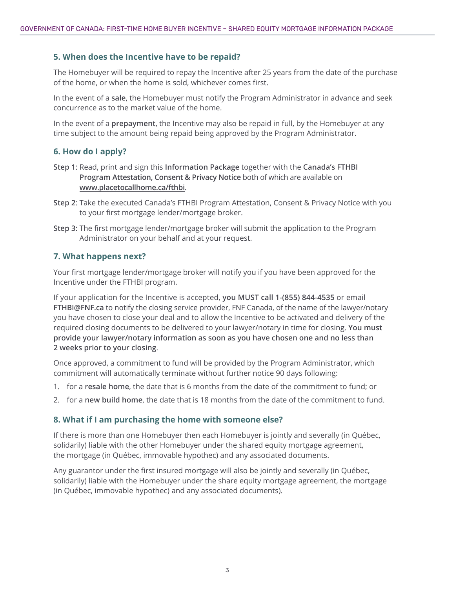#### **5. When does the Incentive have to be repaid?**

The Homebuyer will be required to repay the Incentive after 25 years from the date of the purchase of the home, or when the home is sold, whichever comes first.

In the event of a **sale**, the Homebuyer must notify the Program Administrator in advance and seek concurrence as to the market value of the home.

In the event of a **prepayment**, the Incentive may also be repaid in full, by the Homebuyer at any time subject to the amount being repaid being approved by the Program Administrator.

#### **6. How do I apply?**

- **Step 1**: Read, print and sign this **Information Package** together with the **Canada's FTHBI Program Attestation, Consent & Privacy Notice** both of which are available on **[www.placetocallhome.ca/fthbi](http://www.placetocallhome.ca/fthbi)**.
- **Step 2**: Take the executed Canada's FTHBI Program Attestation, Consent & Privacy Notice with you to your first mortgage lender/mortgage broker.
- **Step 3**: The first mortgage lender/mortgage broker will submit the application to the Program Administrator on your behalf and at your request.

#### **7. What happens next?**

Your first mortgage lender/mortgage broker will notify you if you have been approved for the Incentive under the FTHBI program.

If your application for the Incentive is accepted, **you MUST call 1-(855) 844-4535** or email **[FTHBI@FNF.ca](mailto:FTHBI@FNF.ca)** to notify the closing service provider, FNF Canada, of the name of the lawyer/notary you have chosen to close your deal and to allow the Incentive to be activated and delivery of the required closing documents to be delivered to your lawyer/notary in time for closing. **You must provide your lawyer/notary information as soon as you have chosen one and no less than 2 weeks prior to your closing**.

Once approved, a commitment to fund will be provided by the Program Administrator, which commitment will automatically terminate without further notice 90 days following:

- 1. for a **resale home**, the date that is 6 months from the date of the commitment to fund; or
- 2. for a **new build home**, the date that is 18 months from the date of the commitment to fund.

#### **8. What if I am purchasing the home with someone else?**

If there is more than one Homebuyer then each Homebuyer is jointly and severally (in Québec, solidarily) liable with the other Homebuyer under the shared equity mortgage agreement, the mortgage (in Québec, immovable hypothec) and any associated documents.

Any guarantor under the first insured mortgage will also be jointly and severally (in Québec, solidarily) liable with the Homebuyer under the share equity mortgage agreement, the mortgage (in Québec, immovable hypothec) and any associated documents).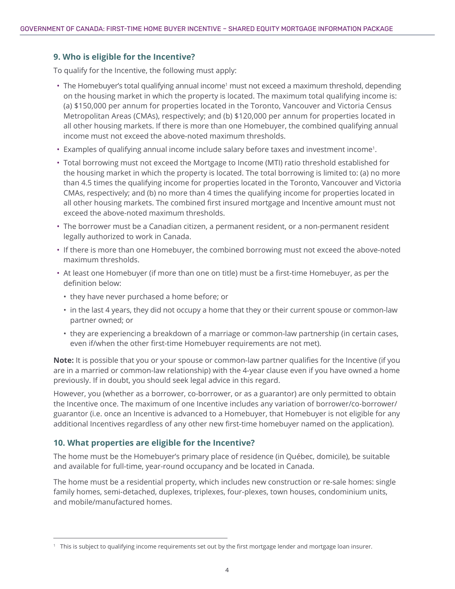#### **9. Who is eligible for the Incentive?**

To qualify for the Incentive, the following must apply:

- The Homebuyer's total qualifying annual income<sup>1</sup> must not exceed a maximum threshold, depending on the housing market in which the property is located. The maximum total qualifying income is: (a) \$150,000 per annum for properties located in the Toronto, Vancouver and Victoria Census Metropolitan Areas (CMAs), respectively; and (b) \$120,000 per annum for properties located in all other housing markets. If there is more than one Homebuyer, the combined qualifying annual income must not exceed the above-noted maximum thresholds.
- Examples of qualifying annual income include salary before taxes and investment income1.
- Total borrowing must not exceed the Mortgage to Income (MTI) ratio threshold established for the housing market in which the property is located. The total borrowing is limited to: (a) no more than 4.5 times the qualifying income for properties located in the Toronto, Vancouver and Victoria CMAs, respectively; and (b) no more than 4 times the qualifying income for properties located in all other housing markets. The combined first insured mortgage and Incentive amount must not exceed the above-noted maximum thresholds.
- The borrower must be a Canadian citizen, a permanent resident, or a non-permanent resident legally authorized to work in Canada.
- If there is more than one Homebuyer, the combined borrowing must not exceed the above-noted maximum thresholds.
- At least one Homebuyer (if more than one on title) must be a first-time Homebuyer, as per the definition below:
	- they have never purchased a home before; or
	- in the last 4 years, they did not occupy a home that they or their current spouse or common-law partner owned; or
	- they are experiencing a breakdown of a marriage or common-law partnership (in certain cases, even if/when the other first-time Homebuyer requirements are not met).

**Note:** It is possible that you or your spouse or common-law partner qualifies for the Incentive (if you are in a married or common-law relationship) with the 4-year clause even if you have owned a home previously. If in doubt, you should seek legal advice in this regard.

However, you (whether as a borrower, co-borrower, or as a guarantor) are only permitted to obtain the Incentive once. The maximum of one Incentive includes any variation of borrower/co-borrower/ guarantor (i.e. once an Incentive is advanced to a Homebuyer, that Homebuyer is not eligible for any additional Incentives regardless of any other new first-time homebuyer named on the application).

#### **10. What properties are eligible for the Incentive?**

The home must be the Homebuyer's primary place of residence (in Québec, domicile), be suitable and available for full-time, year-round occupancy and be located in Canada.

The home must be a residential property, which includes new construction or re-sale homes: single family homes, semi-detached, duplexes, triplexes, four-plexes, town houses, condominium units, and mobile/manufactured homes.

<sup>&</sup>lt;sup>1</sup> This is subject to qualifying income requirements set out by the first mortgage lender and mortgage loan insurer.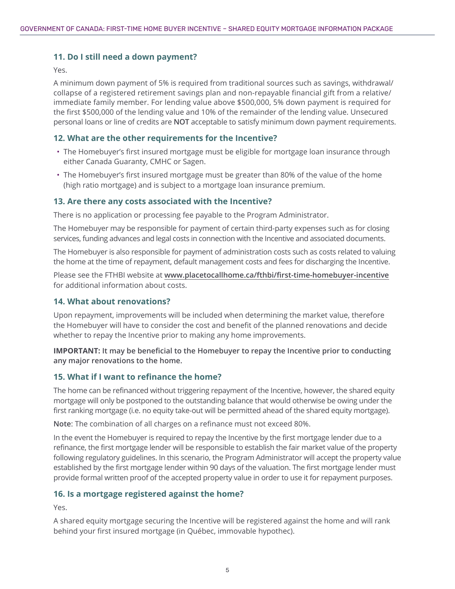#### **11. Do I still need a down payment?**

Yes.

A minimum down payment of 5% is required from traditional sources such as savings, withdrawal/ collapse of a registered retirement savings plan and non-repayable financial gift from a relative/ immediate family member. For lending value above \$500,000, 5% down payment is required for the first \$500,000 of the lending value and 10% of the remainder of the lending value. Unsecured personal loans or line of credits are **NOT** acceptable to satisfy minimum down payment requirements.

#### **12. What are the other requirements for the Incentive?**

- The Homebuyer's first insured mortgage must be eligible for mortgage loan insurance through either Canada Guaranty, CMHC or Sagen.
- The Homebuyer's first insured mortgage must be greater than 80% of the value of the home (high ratio mortgage) and is subject to a mortgage loan insurance premium.

#### **13. Are there any costs associated with the Incentive?**

There is no application or processing fee payable to the Program Administrator.

The Homebuyer may be responsible for payment of certain third-party expenses such as for closing services, funding advances and legal costs in connection with the Incentive and associated documents.

The Homebuyer is also responsible for payment of administration costs such as costs related to valuing the home at the time of repayment, default management costs and fees for discharging the Incentive.

Please see the FTHBI website at **[www.placetocallhome.ca/fthbi/first-time-homebuyer-incentive](https://www.placetocallhome.ca/fthbi/first-time-homebuyer-incentive)** for additional information about costs.

#### **14. What about renovations?**

Upon repayment, improvements will be included when determining the market value, therefore the Homebuyer will have to consider the cost and benefit of the planned renovations and decide whether to repay the Incentive prior to making any home improvements.

**IMPORTANT: It may be beneficial to the Homebuyer to repay the Incentive prior to conducting any major renovations to the home.** 

#### **15. What if I want to refinance the home?**

The home can be refinanced without triggering repayment of the Incentive, however, the shared equity mortgage will only be postponed to the outstanding balance that would otherwise be owing under the first ranking mortgage (i.e. no equity take-out will be permitted ahead of the shared equity mortgage).

**Note**: The combination of all charges on a refinance must not exceed 80%.

In the event the Homebuyer is required to repay the Incentive by the first mortgage lender due to a refinance, the first mortgage lender will be responsible to establish the fair market value of the property following regulatory guidelines. In this scenario, the Program Administrator will accept the property value established by the first mortgage lender within 90 days of the valuation. The first mortgage lender must provide formal written proof of the accepted property value in order to use it for repayment purposes.

#### **16. Is a mortgage registered against the home?**

Yes.

A shared equity mortgage securing the Incentive will be registered against the home and will rank behind your first insured mortgage (in Québec, immovable hypothec).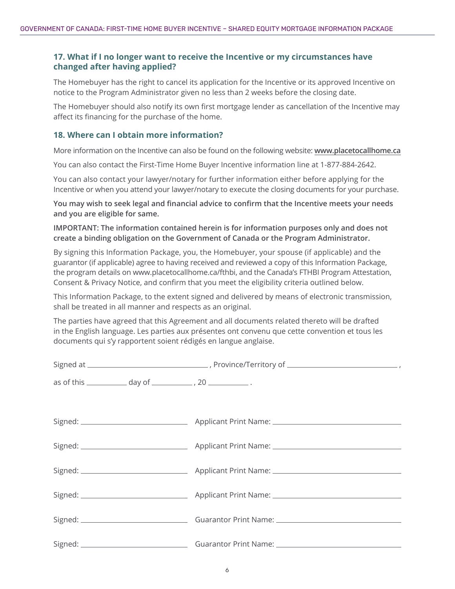#### **17. What if I no longer want to receive the Incentive or my circumstances have changed after having applied?**

The Homebuyer has the right to cancel its application for the Incentive or its approved Incentive on notice to the Program Administrator given no less than 2 weeks before the closing date.

The Homebuyer should also notify its own first mortgage lender as cancellation of the Incentive may affect its financing for the purchase of the home.

#### **18. Where can I obtain more information?**

More information on the Incentive can also be found on the following website: **[www.placetocallhome.ca](http://www.placetocallhome.ca)**

You can also contact the First-Time Home Buyer Incentive information line at 1-877-884-2642.

You can also contact your lawyer/notary for further information either before applying for the Incentive or when you attend your lawyer/notary to execute the closing documents for your purchase.

**You may wish to seek legal and financial advice to confirm that the Incentive meets your needs and you are eligible for same.**

#### **IMPORTANT: The information contained herein is for information purposes only and does not create a binding obligation on the Government of Canada or the Program Administrator.**

By signing this Information Package, you, the Homebuyer, your spouse (if applicable) and the guarantor (if applicable) agree to having received and reviewed a copy of this Information Package, the program details on [www.placetocallhome.ca/fthbi,](http://www.placetocallhome.ca/fthbi) and the Canada's FTHBI Program Attestation, Consent & Privacy Notice, and confirm that you meet the eligibility criteria outlined below.

This Information Package, to the extent signed and delivered by means of electronic transmission, shall be treated in all manner and respects as an original.

The parties have agreed that this Agreement and all documents related thereto will be drafted in the English language. Les parties aux présentes ont convenu que cette convention et tous les documents qui s'y rapportent soient rédigés en langue anglaise.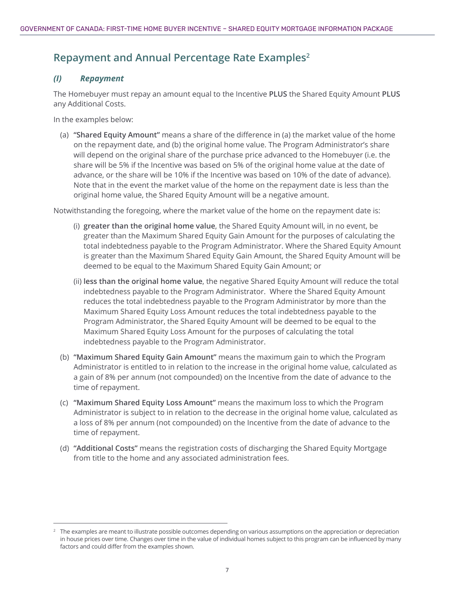# **Repayment and Annual Percentage Rate Examples2**

#### *(I) Repayment*

The Homebuyer must repay an amount equal to the Incentive **PLUS** the Shared Equity Amount **PLUS** any Additional Costs.

In the examples below:

(a) **"Shared Equity Amount"** means a share of the difference in (a) the market value of the home on the repayment date, and (b) the original home value. The Program Administrator's share will depend on the original share of the purchase price advanced to the Homebuyer (i.e. the share will be 5% if the Incentive was based on 5% of the original home value at the date of advance, or the share will be 10% if the Incentive was based on 10% of the date of advance). Note that in the event the market value of the home on the repayment date is less than the original home value, the Shared Equity Amount will be a negative amount.

Notwithstanding the foregoing, where the market value of the home on the repayment date is:

- (i) **greater than the original home value**, the Shared Equity Amount will, in no event, be greater than the Maximum Shared Equity Gain Amount for the purposes of calculating the total indebtedness payable to the Program Administrator. Where the Shared Equity Amount is greater than the Maximum Shared Equity Gain Amount, the Shared Equity Amount will be deemed to be equal to the Maximum Shared Equity Gain Amount; or
- (ii) **less than the original home value**, the negative Shared Equity Amount will reduce the total indebtedness payable to the Program Administrator. Where the Shared Equity Amount reduces the total indebtedness payable to the Program Administrator by more than the Maximum Shared Equity Loss Amount reduces the total indebtedness payable to the Program Administrator, the Shared Equity Amount will be deemed to be equal to the Maximum Shared Equity Loss Amount for the purposes of calculating the total indebtedness payable to the Program Administrator.
- (b) **"Maximum Shared Equity Gain Amount"** means the maximum gain to which the Program Administrator is entitled to in relation to the increase in the original home value, calculated as a gain of 8% per annum (not compounded) on the Incentive from the date of advance to the time of repayment.
- (c) **"Maximum Shared Equity Loss Amount"** means the maximum loss to which the Program Administrator is subject to in relation to the decrease in the original home value, calculated as a loss of 8% per annum (not compounded) on the Incentive from the date of advance to the time of repayment.
- (d) **"Additional Costs"** means the registration costs of discharging the Shared Equity Mortgage from title to the home and any associated administration fees.

<sup>&</sup>lt;sup>2</sup> The examples are meant to illustrate possible outcomes depending on various assumptions on the appreciation or depreciation in house prices over time. Changes over time in the value of individual homes subject to this program can be influenced by many factors and could differ from the examples shown.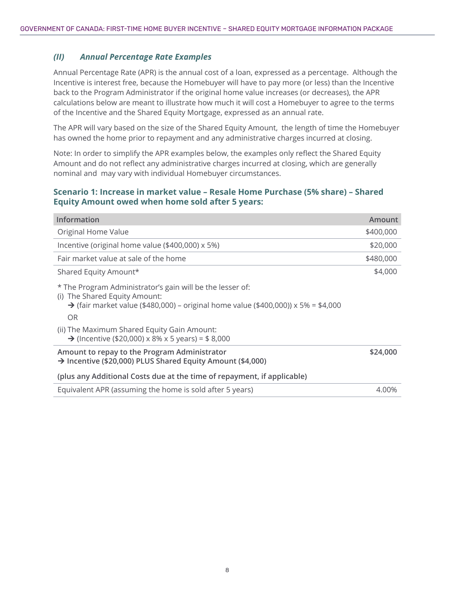#### *(II) Annual Percentage Rate Examples*

Annual Percentage Rate (APR) is the annual cost of a loan, expressed as a percentage. Although the Incentive is interest free, because the Homebuyer will have to pay more (or less) than the Incentive back to the Program Administrator if the original home value increases (or decreases), the APR calculations below are meant to illustrate how much it will cost a Homebuyer to agree to the terms of the Incentive and the Shared Equity Mortgage, expressed as an annual rate.

The APR will vary based on the size of the Shared Equity Amount, the length of time the Homebuyer has owned the home prior to repayment and any administrative charges incurred at closing.

Note: In order to simplify the APR examples below, the examples only reflect the Shared Equity Amount and do not reflect any administrative charges incurred at closing, which are generally nominal and may vary with individual Homebuyer circumstances.

#### **Scenario 1: Increase in market value – Resale Home Purchase (5% share) – Shared Equity Amount owed when home sold after 5 years:**

| <b>Information</b>                                                                                                                                                                                  | Amount    |
|-----------------------------------------------------------------------------------------------------------------------------------------------------------------------------------------------------|-----------|
| Original Home Value                                                                                                                                                                                 | \$400,000 |
| Incentive (original home value (\$400,000) x 5%)                                                                                                                                                    | \$20,000  |
| Fair market value at sale of the home                                                                                                                                                               | \$480,000 |
| Shared Equity Amount*                                                                                                                                                                               | \$4,000   |
| * The Program Administrator's gain will be the lesser of:<br>(i) The Shared Equity Amount:<br>$\rightarrow$ (fair market value (\$480,000) – original home value (\$400,000)) x 5% = \$4,000<br>OR. |           |
| (ii) The Maximum Shared Equity Gain Amount:<br>→ (Incentive (\$20,000) x 8% x 5 years) = \$ 8,000                                                                                                   |           |
| Amount to repay to the Program Administrator<br>$\rightarrow$ Incentive (\$20,000) PLUS Shared Equity Amount (\$4,000)                                                                              | \$24,000  |
| (plus any Additional Costs due at the time of repayment, if applicable)                                                                                                                             |           |
| Equivalent APR (assuming the home is sold after 5 years)                                                                                                                                            | 4.00%     |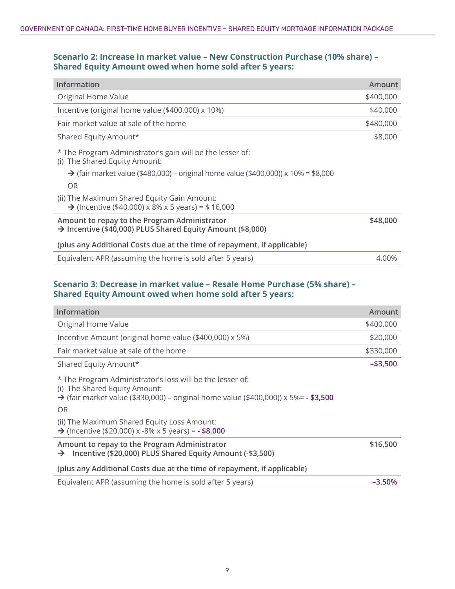#### **Scenario 2: Increase in market value – New Construction Purchase (10% share) – Shared Equity Amount owed when home sold after 5 years:**

| <b>Information</b>                                                                                         | Amount    |
|------------------------------------------------------------------------------------------------------------|-----------|
| Original Home Value                                                                                        | \$400,000 |
| Incentive (original home value (\$400,000) x 10%)                                                          | \$40,000  |
| Fair market value at sale of the home                                                                      | \$480,000 |
| Shared Equity Amount*                                                                                      | \$8,000   |
| * The Program Administrator's gain will be the lesser of:<br>The Shared Equity Amount:<br>(i)              |           |
| $\rightarrow$ (fair market value (\$480,000) – original home value (\$400,000)) x 10% = \$8,000            |           |
| <b>OR</b>                                                                                                  |           |
| (ii) The Maximum Shared Equity Gain Amount:<br>→ (Incentive (\$40,000) x 8% x 5 years) = \$ 16,000         |           |
| Amount to repay to the Program Administrator<br>→ Incentive (\$40,000) PLUS Shared Equity Amount (\$8,000) | \$48,000  |
| (plus any Additional Costs due at the time of repayment, if applicable)                                    |           |
| Equivalent APR (assuming the home is sold after 5 years)                                                   | 4.00%     |

### **Scenario 3: Decrease in market value – Resale Home Purchase (5% share) – Shared Equity Amount owed when home sold after 5 years:**

| <b>Information</b>                                                                                                                                                                                                                             | Amount      |
|------------------------------------------------------------------------------------------------------------------------------------------------------------------------------------------------------------------------------------------------|-------------|
| Original Home Value                                                                                                                                                                                                                            | \$400,000   |
| Incentive Amount (original home value (\$400,000) x 5%)                                                                                                                                                                                        | \$20,000    |
| Fair market value at sale of the home                                                                                                                                                                                                          | \$330,000   |
| Shared Equity Amount*                                                                                                                                                                                                                          | $-$ \$3,500 |
| * The Program Administrator's loss will be the lesser of:<br>(i) The Shared Equity Amount:<br>→ (fair market value (\$330,000) – original home value (\$400,000)) $\times$ 5%= - \$3,500<br>OR.<br>(ii) The Maximum Shared Equity Loss Amount: |             |
| $\rightarrow$ (Incentive (\$20,000) x -8% x 5 years) = - \$8,000                                                                                                                                                                               |             |
| Amount to repay to the Program Administrator<br>Incentive (\$20,000) PLUS Shared Equity Amount (-\$3,500)<br>$\rightarrow$                                                                                                                     | \$16,500    |
| (plus any Additional Costs due at the time of repayment, if applicable)                                                                                                                                                                        |             |
| Equivalent APR (assuming the home is sold after 5 years)                                                                                                                                                                                       | $-3.50%$    |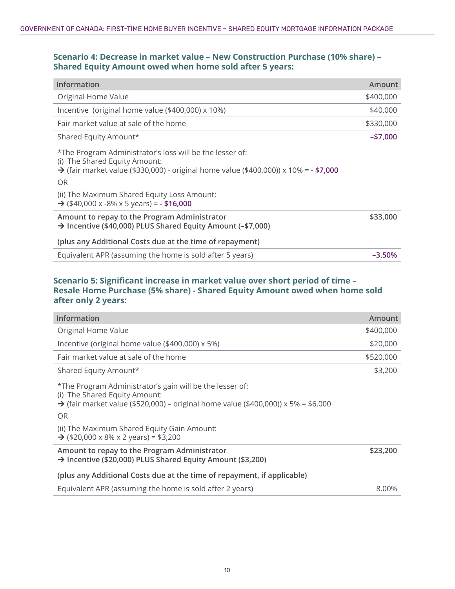#### **Scenario 4: Decrease in market value – New Construction Purchase (10% share) – Shared Equity Amount owed when home sold after 5 years:**

| <b>Information</b>                                                                                                                                                                                     | Amount     |
|--------------------------------------------------------------------------------------------------------------------------------------------------------------------------------------------------------|------------|
| Original Home Value                                                                                                                                                                                    | \$400,000  |
| Incentive (original home value (\$400,000) x 10%)                                                                                                                                                      | \$40,000   |
| Fair market value at sale of the home                                                                                                                                                                  | \$330,000  |
| Shared Equity Amount*                                                                                                                                                                                  | $- $7,000$ |
| *The Program Administrator's loss will be the lesser of:<br>(i) The Shared Equity Amount:<br>→ (fair market value (\$330,000) - original home value (\$400,000)) $\times$ 10% = - \$7,000<br><b>OR</b> |            |
| (ii) The Maximum Shared Equity Loss Amount:<br>$\rightarrow$ (\$40,000 x -8% x 5 years) = - \$16,000                                                                                                   |            |
| Amount to repay to the Program Administrator<br>→ Incentive (\$40,000) PLUS Shared Equity Amount (-\$7,000)                                                                                            | \$33,000   |
| (plus any Additional Costs due at the time of repayment)                                                                                                                                               |            |
| Equivalent APR (assuming the home is sold after 5 years)                                                                                                                                               | $-3.50%$   |

#### **Scenario 5: Significant increase in market value over short period of time – Resale Home Purchase (5% share) - Shared Equity Amount owed when home sold after only 2 years:**

| Amount    |
|-----------|
| \$400,000 |
| \$20,000  |
| \$520,000 |
| \$3,200   |
|           |
|           |
| \$23,200  |
|           |
| 8.00%     |
|           |